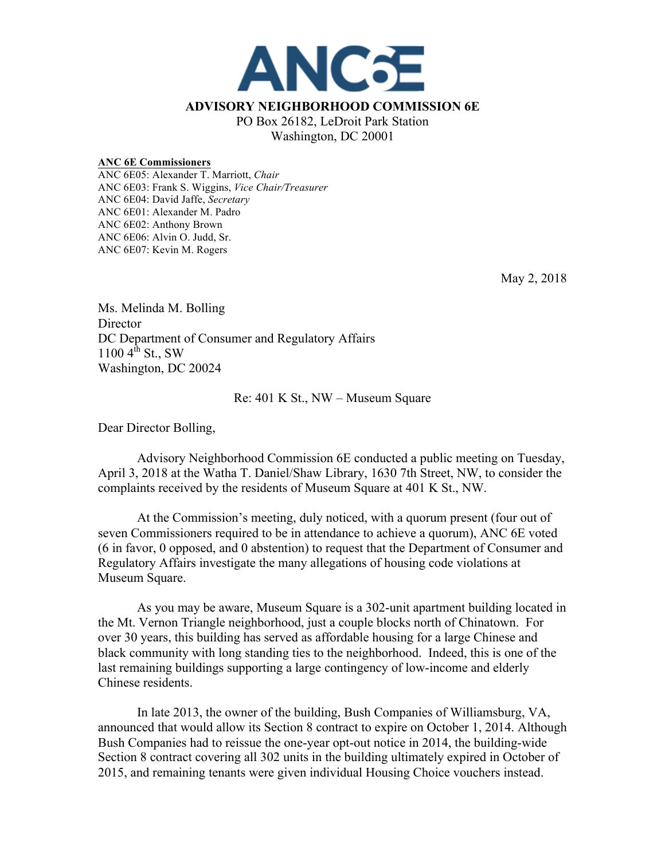

## **ANC 6E Commissioners**

ANC 6E05: Alexander T. Marriott, *Chair* ANC 6E03: Frank S. Wiggins, *Vice Chair/Treasurer* ANC 6E04: David Jaffe, *Secretary* ANC 6E01: Alexander M. Padro ANC 6E02: Anthony Brown ANC 6E06: Alvin O. Judd, Sr. ANC 6E07: Kevin M. Rogers

May 2, 2018

Ms. Melinda M. Bolling Director DC Department of Consumer and Regulatory Affairs  $1100 \, 4^{th}$  St., SW Washington, DC 20024

Re: 401 K St., NW – Museum Square

Dear Director Bolling,

Advisory Neighborhood Commission 6E conducted a public meeting on Tuesday, April 3, 2018 at the Watha T. Daniel/Shaw Library, 1630 7th Street, NW, to consider the complaints received by the residents of Museum Square at 401 K St., NW.

At the Commission's meeting, duly noticed, with a quorum present (four out of seven Commissioners required to be in attendance to achieve a quorum), ANC 6E voted (6 in favor, 0 opposed, and 0 abstention) to request that the Department of Consumer and Regulatory Affairs investigate the many allegations of housing code violations at Museum Square.

As you may be aware, Museum Square is a 302-unit apartment building located in the Mt. Vernon Triangle neighborhood, just a couple blocks north of Chinatown. For over 30 years, this building has served as affordable housing for a large Chinese and black community with long standing ties to the neighborhood. Indeed, this is one of the last remaining buildings supporting a large contingency of low-income and elderly Chinese residents.

In late 2013, the owner of the building, Bush Companies of Williamsburg, VA, announced that would allow its Section 8 contract to expire on October 1, 2014. Although Bush Companies had to reissue the one-year opt-out notice in 2014, the building-wide Section 8 contract covering all 302 units in the building ultimately expired in October of 2015, and remaining tenants were given individual Housing Choice vouchers instead.